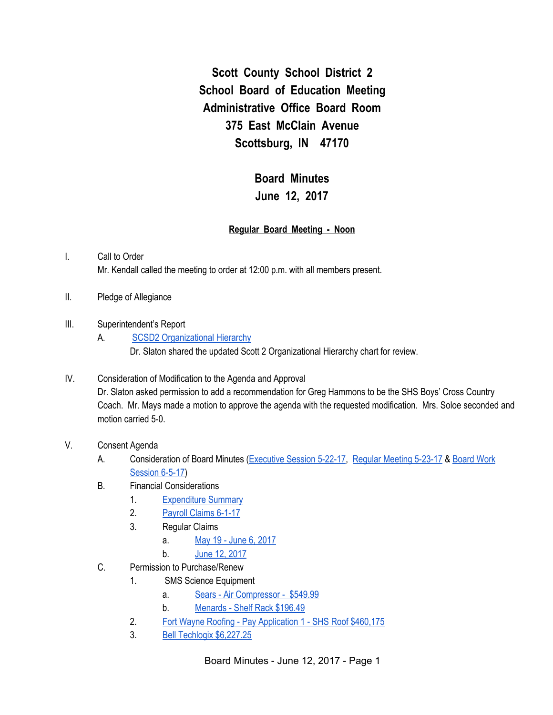**Scott County School District 2 School Board of Education Meeting Administrative Office Board Room 375 East McClain Avenue Scottsburg, IN 47170**

> **Board Minutes June 12, 2017**

#### **Regular Board Meeting - Noon**

## I. Call to Order Mr. Kendall called the meeting to order at 12:00 p.m. with all members present.

- II. Pledge of Allegiance
- III. Superintendent's Report
	- A. SCSD2 [Organizational](https://docs.google.com/drawings/d/1vpEyM3cH3PLCwwllGxxNXFJKdg5M4OkP_3FGkiwHqV8/edit) Hierarchy Dr. Slaton shared the updated Scott 2 Organizational Hierarchy chart for review.
- IV. Consideration of Modification to the Agenda and Approval Dr. Slaton asked permission to add a recommendation for Greg Hammons to be the SHS Boys' Cross Country Coach. Mr. Mays made a motion to approve the agenda with the requested modification. Mrs. Soloe seconded and motion carried 5-0.
- V. Consent Agenda
	- A. Consideration of Board Minutes [\(Executive](https://docs.google.com/document/d/1v7zptpyna2AXzpo1fnfaaNK5rjmW012igyEJ1UQdi0E/edit) Session 5-22-17, Regular [Meeting](https://docs.google.com/document/d/1LivaOLWSa4p_UuUj6stgoLB0UzV_g84sswFBhvO2Yz4/edit) 5-23-17 & [Board](https://docs.google.com/document/d/17A_MtHumm6oyZV6zYrOKg7Xcz62eyzzlXiClcPI1eaE/edit) Work [Session](https://docs.google.com/document/d/17A_MtHumm6oyZV6zYrOKg7Xcz62eyzzlXiClcPI1eaE/edit) 6-5-17)
	- B. Financial Considerations
		- 1. [Expenditure](https://drive.google.com/file/d/0BxXvxnGh3EX1X3owS1hzTE9ER1ZqeUw3dHVjQnA5cjNiRWxn/view) Summary
		- 2. [Payroll](https://drive.google.com/file/d/0BxXvxnGh3EX1Ri1PWEI2VUV1QUw1dXFJXzdvbTUwTS1GRGpv/view) Claims 6-1-17
		- 3. Regular Claims
			- a. May 19 June 6, [2017](https://drive.google.com/file/d/0BxXvxnGh3EX1blRMVGJPaVVPbW16TC1qaE8zU0tNemFOc0FF/view)
			- b. June 12, [2017](https://drive.google.com/file/d/0BxXvxnGh3EX1VUNnUllQUVN2WWFzOXVkNTdCOEVGZE45eWNJ/view)
	- C. Permission to Purchase/Renew
		- 1. SMS Science Equipment
			- a. Sears Air [Compressor](https://drive.google.com/file/d/0BxXvxnGh3EX1T0VSVklfVVFpWldPQ3k4cTJtZXZ2QzhZU1pF/view) \$549.99
			- b. [Menards](https://drive.google.com/file/d/0BxXvxnGh3EX1aktpMFE2c2Z2UVpaT1JzTVJ6MTJ4U0RnQ3ZN/view) Shelf Rack \$196.49
			- 2. Fort Wayne Roofing Pay [Application](https://drive.google.com/file/d/0BxXvxnGh3EX1YmY3cVpqcUJuWmNFYWR5TWpPOE5lUXRnMGFz/view) 1 SHS Roof \$460,175
			- 3. Bell Techlogix [\\$6,227.25](https://drive.google.com/file/d/0BxXvxnGh3EX1ejFrem9IQnZRdkE4Z2l3X1J5VmcwYjhucjdn/view)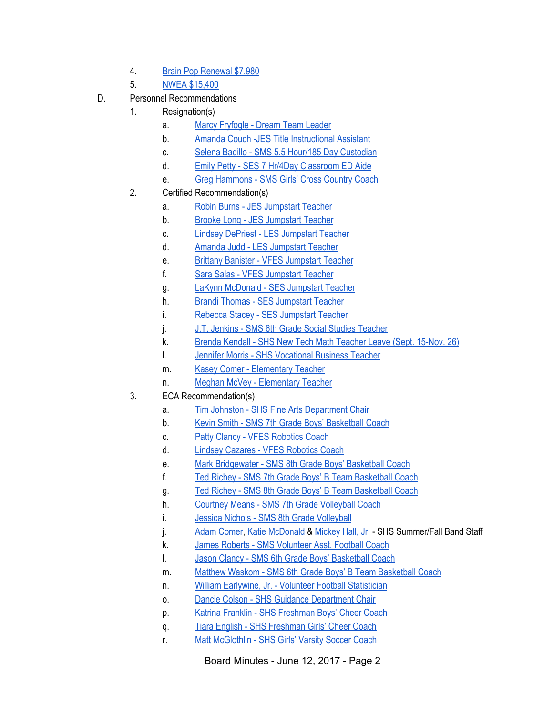- 4. Brain Pop [Renewal](https://drive.google.com/file/d/0BxXvxnGh3EX1djlTUWFuRG1ONmhvem5MbWQ1T3RRRDdOTHlj/view) \$7,980
- 5. NWEA [\\$15,400](https://drive.google.com/file/d/0BxXvxnGh3EX1SnBoMVI5ZlY0WE1BZFZxdWNCS3l3LWJQa2FR/view)
- D. Personnel Recommendations
	- 1. Resignation(s)
		- a. Marcy [Fryfogle](https://drive.google.com/file/d/0BxXvxnGh3EX1TEN6YnNndkp1NEI5RlNGb3g5cEV6bS1ZN1dj/view) Dream Team Leader
		- b. Amanda Couch -JES Title [Instructional](https://drive.google.com/file/d/0BxXvxnGh3EX1NU5GU29LTmtUbG1hRkNBWFlUNEtJZFk2LS1F/view) Assistant
		- c. Selena Badillo SMS 5.5 Hour/185 Day [Custodian](https://drive.google.com/file/d/0BxXvxnGh3EX1X2JKRG1PVU1LdGx0cGppbTREWmNZTUNTb2k0/view)
		- d. Emily Petty SES 7 Hr/4Day [Classroom](https://drive.google.com/file/d/0BxXvxnGh3EX1bWdaU1BDdXNNQkp1TkR6WkpzbFBHSEdRamJR/view) ED Aide
		- e. Greg [Hammons](https://drive.google.com/file/d/0BxXvxnGh3EX1SmZpVWtibEhpeU9veV8yck5CWGpWd1cwUUww/view) SMS Girls' Cross Country Coach
	- 2. Certified Recommendation(s)
		- a. Robin Burns JES [Jumpstart](https://drive.google.com/file/d/0BxXvxnGh3EX1enR4c005RHlQLXQzQy1zRnFWMzhsU3FNM0g4/view) Teacher
		- b. Brooke Long JES [Jumpstart](https://drive.google.com/file/d/0BxXvxnGh3EX1Mm9tM21oczNxNXpWZEh1dEl3R3lVNXFpUlJF/view) Teacher
		- c. **Lindsey DePriest LES [Jumpstart](https://drive.google.com/file/d/0BxXvxnGh3EX1UEU4R2c1Qjg1XzJhUWE0elJLSF9Hb2tIWktF/view) Teacher**
		- d. Amanda Judd LES [Jumpstart](https://drive.google.com/file/d/0BxXvxnGh3EX1bW5SMWVnUEZPb090S0ZPOEcxSm1yRFE1MlVR/view) Teacher
		- e. Brittany Banister VFES [Jumpstart](https://drive.google.com/file/d/0BxXvxnGh3EX1cVZXREhieEtiU1lxa2xta2JZNDE4dW82MEdn/view) Teacher
		- f. Sara Salas VFES [Jumpstart](https://drive.google.com/file/d/0BxXvxnGh3EX1LXJYQ2VjZkhSS2FUdzVIVi1EN0VONlRncUpJ/view) Teacher
		- g. LaKynn [McDonald](https://drive.google.com/file/d/0BxXvxnGh3EX1SFR3OE1ld194elhWcHd5T1NnWGMtQ29fVGpV/view) SES Jumpstart Teacher
		- h. Brandi Thomas SES [Jumpstart](https://drive.google.com/file/d/0BxXvxnGh3EX1YW1wTWhsZWdhNTBMN3RhR3JaUlVKUDFhMDZ3/view) Teacher
		- i. Rebecca Stacey SES [Jumpstart](https://drive.google.com/file/d/0BxXvxnGh3EX1ZlFzbHRHSU9aWkN5V19ndk54ZG9ha1B1YkZZ/view) Teacher
		- j. J.T. Jenkins SMS 6th Grade Social Studies [Teacher](https://drive.google.com/file/d/0BxXvxnGh3EX1VlhVbXlYUnpaTUhMTUJlZktfSFBtOGcwWTNN/view)
		- k. Brenda Kendall SHS New Tech Math [Teacher](https://drive.google.com/file/d/0BxXvxnGh3EX1b3hMYTlIQk9lSlVBNkdQSFZCOEd1dlRWLTc0/view) Leave (Sept. 15-Nov. 26)
		- l. Jennifer Morris SHS [Vocational](https://drive.google.com/file/d/0BxXvxnGh3EX1Vkc3ZWdCV3lwVk1UR1FMZjAxcUk3Y2VidlNV/view) Business Teache[r](https://drive.google.com/file/d/0BxXvxnGh3EX1Vkc3ZWdCV3lwVk1UR1FMZjAxcUk3Y2VidlNV/view)
		- m. Kasey Comer [Elementary](https://drive.google.com/file/d/0BxXvxnGh3EX1SDBTM1RCUmVXX3ZnRVpoQ3d2NmR6Ul9wMmZj/view) Teacher
		- n. Meghan McVey [Elementary](https://drive.google.com/file/d/0BxXvxnGh3EX1aWJpdEpCZ0xmblRyVzI1R0ZlUjhjcm00ZjBJ/view) Teacher
	- 3. ECA Recommendation(s)
		- a. Tim Johnston SHS Fine Arts [Department](https://drive.google.com/file/d/0BxXvxnGh3EX1RWhubEt5cVZkLTlpN3pEQUpGeDFkSGlKT2pj/view) Chair
		- b. Kevin Smith SMS 7th Grade Boys' [Basketball](https://drive.google.com/file/d/0BxXvxnGh3EX1bEdTc0FFZmoycnN6enBra0F1alVJTmZnalNn/view) Coach
		- c. Patty Clancy VFES [Robotics](https://drive.google.com/file/d/0BxXvxnGh3EX1SF9GNzRhRTBtUnpORURqVG5qNXkzdnZsZFpF/view) Coach
		- d. Lindsey Cazares VFES [Robotics](https://drive.google.com/file/d/0BxXvxnGh3EX1SUhiVzdBN0FtN296THZFb193Ny1PZXE4QTRV/view) Coach
		- e. Mark [Bridgewater](https://drive.google.com/file/d/0BxXvxnGh3EX1VnJwUGF4U3g3SUZMeXNnbW5ac2V5MWtlZTR3/view) SMS 8th Grade Boys' Basketball Coach
		- f. Ted Richey SMS 7th Grade Boys' B Team [Basketball](https://drive.google.com/file/d/0BxXvxnGh3EX1MWhDdl9kTEE3VXZIbXYwYjFTXzFkS2loaWlF/view) Coach
		- g. Ted Richey SMS 8th Grade Boys' B Team [Basketball](https://drive.google.com/file/d/0BxXvxnGh3EX1amdDUzVzcnd4aldyWkpLa01WbEVsSFYtS3hN/view) Coach
		- h. Courtney Means SMS 7th Grade [Volleyball](https://drive.google.com/file/d/0BxXvxnGh3EX1UmRYTU5ibC1kNVowWHktNm1OVzFSb1Y2Z0tn/view) Coach
		- i. Jessica Nichols SMS 8th Grade [Volleyball](https://drive.google.com/file/d/0BxXvxnGh3EX1SFEtVlFMN1lxWVltRE1mWWlIYzNrOU9uaWlV/view)
		- j. Adam [Comer](https://drive.google.com/file/d/0BxXvxnGh3EX1UDhVUEhhUm1NNVdWLVNfYzNfT3pQZ2RXdDlj/view), Katie [McDonald](https://drive.google.com/file/d/0BxXvxnGh3EX1TGdLY0hleGVuTk90dk1zaXlfS1NSRnk0bG44/view) & [Mickey](https://drive.google.com/file/d/0BxXvxnGh3EX1Q0MxZ3dYQnBPcnJaZTVQdktobV9Lalp6SUww/view) Hall, Jr. SHS Summer/Fall Band Staff
		- k. James Roberts SMS [Volunteer](https://drive.google.com/file/d/0BxXvxnGh3EX1bkc3d20tZ2w4c3hGTWVHaEItd1FpckZ0QV8w/view) Asst. Football Coach
		- l. Jason Clancy SMS 6th Grade Boys' [Basketball](https://drive.google.com/file/d/0BxXvxnGh3EX1ejR0WUljZkFmeTIzVW5iYU5tY29hRy1KSlBn/view) Coach
		- m. Matthew Waskom SMS 6th Grade Boys' B Team [Basketball](https://drive.google.com/file/d/0BxXvxnGh3EX1TDFWVWw5eGxiazd6U3d2LWU4U0ltOVV5NklB/view) Coach
		- n. William Earlywine, Jr. Volunteer Football [Statistician](https://drive.google.com/file/d/0BxXvxnGh3EX1V0RHTTVKUUVDd0U2amNmWmQyUjZJYTBMVzZ3/view)
		- o. Dancie Colson SHS Guidance [Department](https://drive.google.com/file/d/0BxXvxnGh3EX1VGRtWlRoZHJYeVZkZlVPM0hVQWkxYlNGZmlJ/view) Chair
		- p. Katrina Franklin SHS [Freshman](https://drive.google.com/file/d/0BxXvxnGh3EX1QzRDSjRtbTJYSzB1Q1BlU0xzLXoxejRpODc0/view) Boys' Cheer Coach
		- q. Tiara English SHS [Freshman](https://drive.google.com/file/d/0BxXvxnGh3EX1UmV6aWFBQ1lwUzJfaUs5dTdOY2hrcEpBeUJZ/view) Girls' Cheer Coach
		- r. Matt [McGlothlin](https://drive.google.com/file/d/0BxXvxnGh3EX1dGdDamM2SFY1cExlTXlGaTRWd3pXOXh1cjI0/view) SHS Girls' Varsity Soccer Coach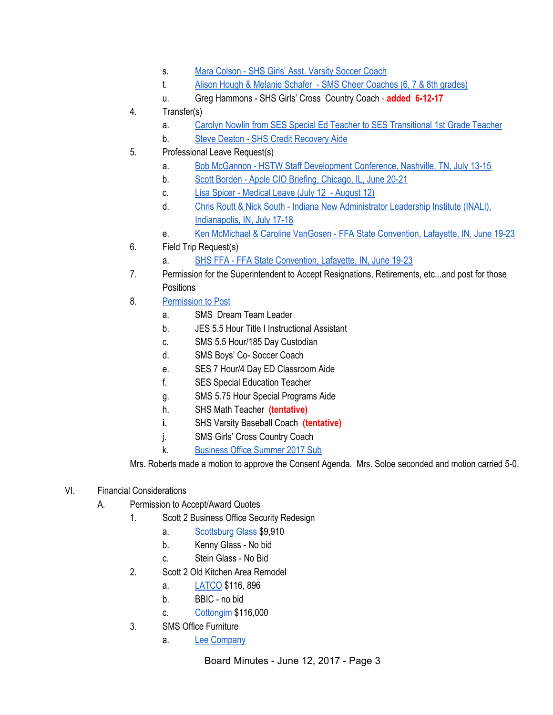- s. Mara [Colson](https://drive.google.com/file/d/0BxXvxnGh3EX1bFFueHhvU1FHUW5DSDRGZEt5dmtzV3B3RDJv/view) SHS Girls' Asst. Varsity Soccer Coach
- t. Alison Hough & Melanie Schafer SMS Cheer [Coaches](https://drive.google.com/file/d/0BxXvxnGh3EX1c0I3V1g2dWtmdEZoQTNGVE90TS1nbnRlZnV3/view) (6, 7 & 8th grades)
- u. Greg Hammons SHS Girls' Cross Country Coach **added 6-12-17**
- 4. Transfer(s)
	- a. Carolyn Nowlin from SES Special Ed Teacher to SES [Transitional](https://drive.google.com/file/d/0BxXvxnGh3EX1ZktGdHpSajd0WXF6dE0xczlXWl9ta2hYQ1FV/view) 1st Grade Teacher
	- b. Steve Deaton SHS Credit [Recovery](https://drive.google.com/file/d/0BxXvxnGh3EX1TlB1MHNWaHlNNzc5TGxKUm1oalRWTUdXbkkw/view) Aide
- 5. Professional Leave Request(s)
	- a. Bob McGannon HSTW Staff [Development](https://drive.google.com/file/d/0BxXvxnGh3EX1VGRIT2Q1dTh4bUIxVHZwT3M1d21BRnVtZm5z/view) Conference, Nashville, TN, July 13-15
	- b. Scott Borden Apple CIO Briefing, [Chicago,](https://drive.google.com/file/d/0BxXvxnGh3EX1WW1hRkhSTEIxRXV5eC1nNUctcGpWMS1fMFJ3/view) IL, June 20-21
	- c. Lisa Spicer [Medical](https://drive.google.com/file/d/0BxXvxnGh3EX1b0N1czRlc1d3eU5hWjF4WHlwQnRMd0pBc0Vn/view) Leave (July 12 August 12)
	- d. Chris Routt & Nick South Indiana New [Administrator](https://drive.google.com/file/d/0BxXvxnGh3EX1YUtPSHZkUUlfaXlmVkdYeGJRT05UUHdDSllj/view) Leadership Institute (INALI), [Indianapolis,](https://drive.google.com/file/d/0BxXvxnGh3EX1YUtPSHZkUUlfaXlmVkdYeGJRT05UUHdDSllj/view) IN, July 17-18
	- e. Ken McMichael & Caroline VanGosen FFA State [Convention,](https://drive.google.com/file/d/0BxXvxnGh3EX1SFBMUVgyOHg5cEJlLUFoZ1lrQ3hUM3NuQVUw/view) Lafayette, IN, June 19-23
- 6. Field Trip Request(s)
	- a. SHS FFA FFA State [Convention,](https://drive.google.com/file/d/0BxXvxnGh3EX1X0M3NktaaEw3bFF0T1pCYUE3dEdNQi05amNJ/view) Lafayette, IN, June 19-23
- 7. Permission for the Superintendent to Accept Resignations, Retirements, etc...and post for those **Positions**
- 8. [Permission](https://docs.google.com/document/d/1lpSnOo7_FWNBycRJqmLU5G_AUTdycTH8rwieRotuVQs/edit) to Post
	- a. SMS Dream Team Leader
	- b. JES 5.5 Hour Title I Instructional Assistant
	- c. SMS 5.5 Hour/185 Day Custodian
	- d. SMS Boys' Co- Soccer Coach
	- e. SES 7 Hour/4 Day ED Classroom Aide
	- f. SES Special Education Teacher
	- g. SMS 5.75 Hour Special Programs Aide
	- h. SHS Math Teacher **(tentative)**
	- **i.** SHS Varsity Baseball Coach **(tentative)**
	- j. SMS Girls' Cross Country Coach
	- k. [Business](https://docs.google.com/a/scsd2.k12.in.us/document/d/1x0e7kZwrkIXP6A0OAuLxQRKjfl55Szdv7OE9bzXDxhg/edit?usp=sharing) Office Summer 2017 Sub

Mrs. Roberts made a motion to approve the Consent Agenda. Mrs. Soloe seconded and motion carried 5-0.

### VI. Financial Considerations

- A. Permission to Accept/Award Quotes
	- 1. Scott 2 Business Office Security Redesign
		- a. [Scottsburg](https://drive.google.com/file/d/0BxXvxnGh3EX1WHBKTHE2QzNFSHlXSHNFLW5xT0YwRzc1UE9N/view) Glass \$9,910
		- b. Kenny Glass No bid
		- c. Stein Glass No Bid
		- 2. Scott 2 Old Kitchen Area Remodel
			- a. [LATCO](https://drive.google.com/file/d/0BxXvxnGh3EX1bUs5ZGl6a21kTElxQ1F3eVpWVGxGcDluMjAw/view) \$116, 896
			- b. BBIC no bid
			- c. [Cottongim](https://drive.google.com/file/d/0BxXvxnGh3EX1b2FoVUpjdUJHUmdzYTdFMGZuUGZoRFlFMmVr/view) \$116,000
		- 3. SMS Office Furniture
			- a. Lee [Company](https://drive.google.com/file/d/0BxXvxnGh3EX1a3dUWlhDRjctN3FGdFBYX2trQWFHUU82S1dn/view)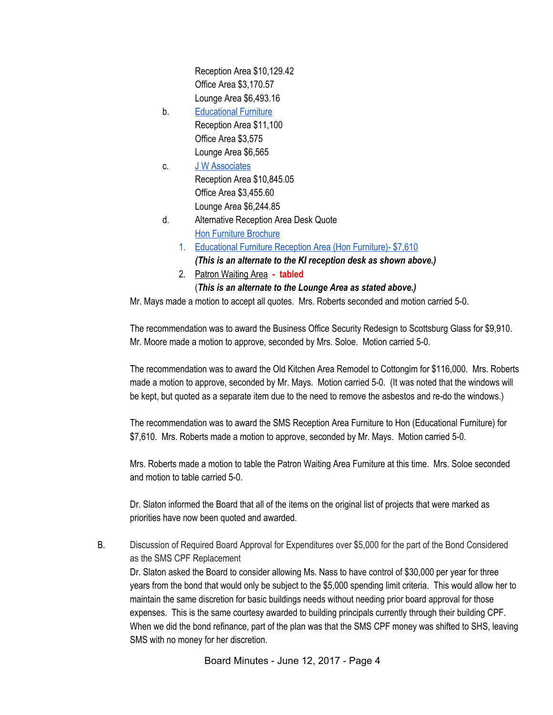Reception Area \$10,129.42 Office Area \$3,170.57 Lounge Area \$6,493.16

- b. [Educational](https://drive.google.com/file/d/0BxXvxnGh3EX1aGxpVWdjVVVTZ1Y2ek5mV214VFMxRXVlQ2JJ/view) Furniture Reception Area \$11,100 Office Area \$3,575 Lounge Area \$6,565
- c. J W [Associates](https://drive.google.com/file/d/0BxXvxnGh3EX1MHEwQlhtR1daQ2V1X3A5UjBoMXdZYlg0a3pj/view) Reception Area \$10,845.05 Office Area \$3,455.60 Lounge Area \$6,244.85
- d. Alternative Reception Area Desk Quote Hon Furniture [Brochure](https://www.hon.com/sites/hon.com/files/grove-brochure.pdf)
	- 1. [Educational](https://drive.google.com/file/d/0BxXvxnGh3EX1dHJyOGV1S1lBY2hLWVFtalBPR3ZOWXdMNGlr/view) Furniture Reception Area (Hon Furniture)- \$7,610 *(This is an alternate to the KI reception desk as shown above.)*
	- 2. Patron [Waiting](https://drive.google.com/file/d/0BxXvxnGh3EX1bFlhVnBRcHNiMzltdUpmTW9GRzhEanUxMkM0/view) Area **- tabled**

# (*This is an alternate to the Lounge Area as stated above.)*

Mr. Mays made a motion to accept all quotes. Mrs. Roberts seconded and motion carried 5-0.

The recommendation was to award the Business Office Security Redesign to Scottsburg Glass for \$9,910. Mr. Moore made a motion to approve, seconded by Mrs. Soloe. Motion carried 5-0.

The recommendation was to award the Old Kitchen Area Remodel to Cottongim for \$116,000. Mrs. Roberts made a motion to approve, seconded by Mr. Mays. Motion carried 5-0. (It was noted that the windows will be kept, but quoted as a separate item due to the need to remove the asbestos and re-do the windows.)

The recommendation was to award the SMS Reception Area Furniture to Hon (Educational Furniture) for \$7,610. Mrs. Roberts made a motion to approve, seconded by Mr. Mays. Motion carried 5-0.

Mrs. Roberts made a motion to table the Patron Waiting Area Furniture at this time. Mrs. Soloe seconded and motion to table carried 5-0.

Dr. Slaton informed the Board that all of the items on the original list of projects that were marked as priorities have now been quoted and awarded.

B. Discussion of Required Board Approval for Expenditures over \$5,000 for the part of the Bond Considered as the SMS CPF Replacement

Dr. Slaton asked the Board to consider allowing Ms. Nass to have control of \$30,000 per year for three years from the bond that would only be subject to the \$5,000 spending limit criteria. This would allow her to maintain the same discretion for basic buildings needs without needing prior board approval for those expenses. This is the same courtesy awarded to building principals currently through their building CPF. When we did the bond refinance, part of the plan was that the SMS CPF money was shifted to SHS, leaving SMS with no money for her discretion.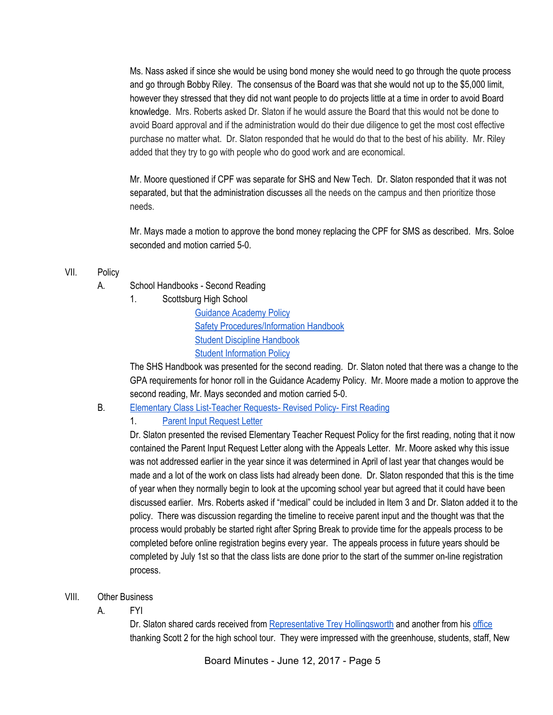Ms. Nass asked if since she would be using bond money she would need to go through the quote process and go through Bobby Riley. The consensus of the Board was that she would not up to the \$5,000 limit, however they stressed that they did not want people to do projects little at a time in order to avoid Board knowledge. Mrs. Roberts asked Dr. Slaton if he would assure the Board that this would not be done to avoid Board approval and if the administration would do their due diligence to get the most cost effective purchase no matter what. Dr. Slaton responded that he would do that to the best of his ability. Mr. Riley added that they try to go with people who do good work and are economical.

Mr. Moore questioned if CPF was separate for SHS and New Tech. Dr. Slaton responded that it was not separated, but that the administration discusses all the needs on the campus and then prioritize those needs.

Mr. Mays made a motion to approve the bond money replacing the CPF for SMS as described. Mrs. Soloe seconded and motion carried 5-0.

- VII. Policy
	- A. School Handbooks Second Reading
		- 1. Scottsburg High School

[Guidance](https://drive.google.com/file/d/0BxXvxnGh3EX1b04zT0FRNlEtbkZyMjBvY0tvSnZRRVg3em1z/view) Academy Policy Safety [Procedures/Information](https://drive.google.com/file/d/0BxXvxnGh3EX1a3hoSVhHakE3NWp1YzU5WW9GbUlSQ3RnZTRv/view) Handbook Student Discipline [Handbook](https://drive.google.com/file/d/0BxXvxnGh3EX1Y2c5eWFxelBCZXdhTHhFZkxuWVg2Z3hMSmtr/view) Student [Information](https://drive.google.com/file/d/0BxXvxnGh3EX1SVNDbk52Y08xSTRkNnNlRTAzNUlGcXJjY3BN/view) Policy

The SHS Handbook was presented for the second reading. Dr. Slaton noted that there was a change to the GPA requirements for honor roll in the Guidance Academy Policy. Mr. Moore made a motion to approve the second reading, Mr. Mays seconded and motion carried 5-0.

- B. Elementary Class [List-Teacher](https://docs.google.com/a/scsd2.k12.in.us/document/d/1Dha8ucQhXUnlxC_wKiR4Y2t3Qdkqy1c1TGYV4ec6N3Q/edit?usp=sharing) Requests- Revised Policy- First Reading
	- 1. Parent Input [Request](https://docs.google.com/a/scsd2.k12.in.us/document/d/1CUu0PB5MltTDo98-cc7paW8_zj0zt4xERb7BWnmwJb0/edit?usp=sharing) Letter

Dr. Slaton presented the revised Elementary Teacher Request Policy for the first reading, noting that it now contained the Parent Input Request Letter along with the Appeals Letter. Mr. Moore asked why this issue was not addressed earlier in the year since it was determined in April of last year that changes would be made and a lot of the work on class lists had already been done. Dr. Slaton responded that this is the time of year when they normally begin to look at the upcoming school year but agreed that it could have been discussed earlier. Mrs. Roberts asked if "medical" could be included in Item 3 and Dr. Slaton added it to the policy. There was discussion regarding the timeline to receive parent input and the thought was that the process would probably be started right after Spring Break to provide time for the appeals process to be completed before online registration begins every year. The appeals process in future years should be completed by July 1st so that the class lists are done prior to the start of the summer on-line registration process.

- VIII. Other Business
	- A. FYI

Dr. Slaton shared cards received from [Representative](https://drive.google.com/file/d/0BxXvxnGh3EX1VFo2eU5OSEI4cU03QmJEM3lxZWFEQnpfWldV/view) Trey Hollingsworth and another from his [office](https://drive.google.com/file/d/0BxXvxnGh3EX1aHItNVpmY2diMy01V1Y5UnBIcDEyWmVHa0FB/view) thanking Scott 2 for the high school tour. They were impressed with the greenhouse, students, staff, New